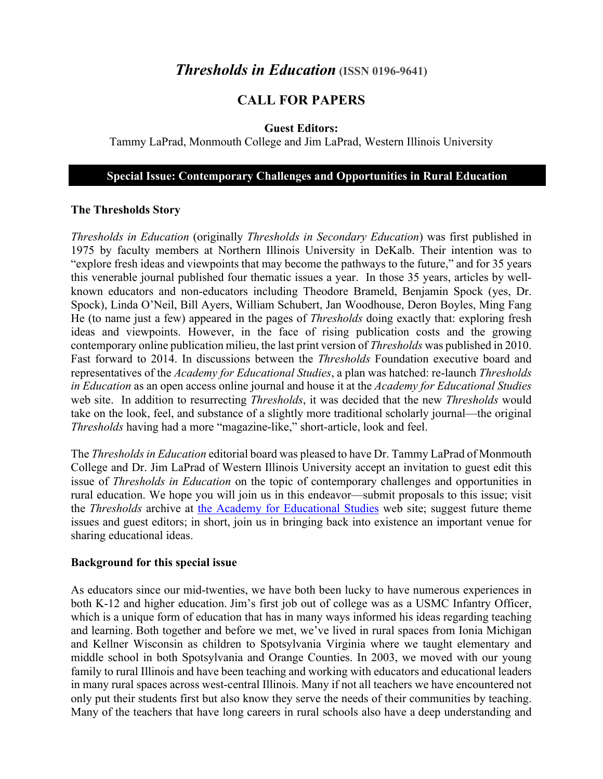# *Thresholds in Education* (ISSN 0196-9641)

## **CALL FOR PAPERS**

#### **Guest Editors:**

Tammy LaPrad, Monmouth College and Jim LaPrad, Western Illinois University

#### **Special Issue: Contemporary Challenges and Opportunities in Rural Education**

#### **The Thresholds Story**

*Thresholds in Education* (originally *Thresholds in Secondary Education*) was first published in 1975 by faculty members at Northern Illinois University in DeKalb. Their intention was to "explore fresh ideas and viewpoints that may become the pathways to the future," and for 35 years this venerable journal published four thematic issues a year. In those 35 years, articles by wellknown educators and non-educators including Theodore Brameld, Benjamin Spock (yes, Dr. Spock), Linda O'Neil, Bill Ayers, William Schubert, Jan Woodhouse, Deron Boyles, Ming Fang He (to name just a few) appeared in the pages of *Thresholds* doing exactly that: exploring fresh ideas and viewpoints. However, in the face of rising publication costs and the growing contemporary online publication milieu, the last print version of *Thresholds* was published in 2010. Fast forward to 2014. In discussions between the *Thresholds* Foundation executive board and representatives of the *Academy for Educational Studies*, a plan was hatched: re-launch *Thresholds in Education* as an open access online journal and house it at the *Academy for Educational Studies* web site. In addition to resurrecting *Thresholds*, it was decided that the new *Thresholds* would take on the look, feel, and substance of a slightly more traditional scholarly journal—the original *Thresholds* having had a more "magazine-like," short-article, look and feel.

The *Thresholds in Education* editorial board was pleased to have Dr. Tammy LaPrad of Monmouth College and Dr. Jim LaPrad of Western Illinois University accept an invitation to guest edit this issue of *Thresholds in Education* on the topic of contemporary challenges and opportunities in rural education. We hope you will join us in this endeavor—submit proposals to this issue; visit the *Thresholds* archive at the Academy for Educational Studies web site; suggest future theme issues and guest editors; in short, join us in bringing back into existence an important venue for sharing educational ideas.

#### **Background for this special issue**

As educators since our mid-twenties, we have both been lucky to have numerous experiences in both K-12 and higher education. Jim's first job out of college was as a USMC Infantry Officer, which is a unique form of education that has in many ways informed his ideas regarding teaching and learning. Both together and before we met, we've lived in rural spaces from Ionia Michigan and Kellner Wisconsin as children to Spotsylvania Virginia where we taught elementary and middle school in both Spotsylvania and Orange Counties. In 2003, we moved with our young family to rural Illinois and have been teaching and working with educators and educational leaders in many rural spaces across west-central Illinois. Many if not all teachers we have encountered not only put their students first but also know they serve the needs of their communities by teaching. Many of the teachers that have long careers in rural schools also have a deep understanding and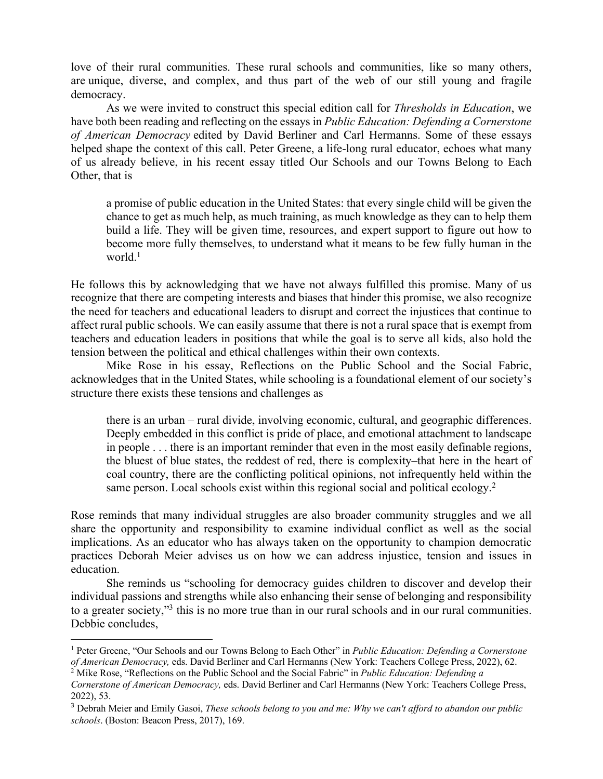love of their rural communities. These rural schools and communities, like so many others, are unique, diverse, and complex, and thus part of the web of our still young and fragile democracy.

As we were invited to construct this special edition call for *Thresholds in Education*, we have both been reading and reflecting on the essays in *Public Education: Defending a Cornerstone of American Democracy* edited by David Berliner and Carl Hermanns. Some of these essays helped shape the context of this call. Peter Greene, a life-long rural educator, echoes what many of us already believe, in his recent essay titled Our Schools and our Towns Belong to Each Other, that is

a promise of public education in the United States: that every single child will be given the chance to get as much help, as much training, as much knowledge as they can to help them build a life. They will be given time, resources, and expert support to figure out how to become more fully themselves, to understand what it means to be few fully human in the world. $<sup>1</sup>$ </sup>

He follows this by acknowledging that we have not always fulfilled this promise. Many of us recognize that there are competing interests and biases that hinder this promise, we also recognize the need for teachers and educational leaders to disrupt and correct the injustices that continue to affect rural public schools. We can easily assume that there is not a rural space that is exempt from teachers and education leaders in positions that while the goal is to serve all kids, also hold the tension between the political and ethical challenges within their own contexts.

Mike Rose in his essay, Reflections on the Public School and the Social Fabric, acknowledges that in the United States, while schooling is a foundational element of our society's structure there exists these tensions and challenges as

there is an urban – rural divide, involving economic, cultural, and geographic differences. Deeply embedded in this conflict is pride of place, and emotional attachment to landscape in people . . . there is an important reminder that even in the most easily definable regions, the bluest of blue states, the reddest of red, there is complexity–that here in the heart of coal country, there are the conflicting political opinions, not infrequently held within the same person. Local schools exist within this regional social and political ecology.<sup>2</sup>

Rose reminds that many individual struggles are also broader community struggles and we all share the opportunity and responsibility to examine individual conflict as well as the social implications. As an educator who has always taken on the opportunity to champion democratic practices Deborah Meier advises us on how we can address injustice, tension and issues in education.

She reminds us "schooling for democracy guides children to discover and develop their individual passions and strengths while also enhancing their sense of belonging and responsibility to a greater society,"3 this is no more true than in our rural schools and in our rural communities. Debbie concludes,

<sup>1</sup> Peter Greene, "Our Schools and our Towns Belong to Each Other" in *Public Education: Defending a Cornerstone of American Democracy, eds. David Berliner and Carl Hermanns (New York: Teachers College Press, 2022), 62.* <sup>2</sup> Mike Rose, "Reflections on the Public School and the Social Fabric" in *Public Education: Defending a* 

*Cornerstone of American Democracy,* eds. David Berliner and Carl Hermanns (New York: Teachers College Press, 2022), 53.

<sup>3</sup> Debrah Meier and Emily Gasoi, *These schools belong to you and me: Why we can't afford to abandon our public schools*. (Boston: Beacon Press, 2017), 169.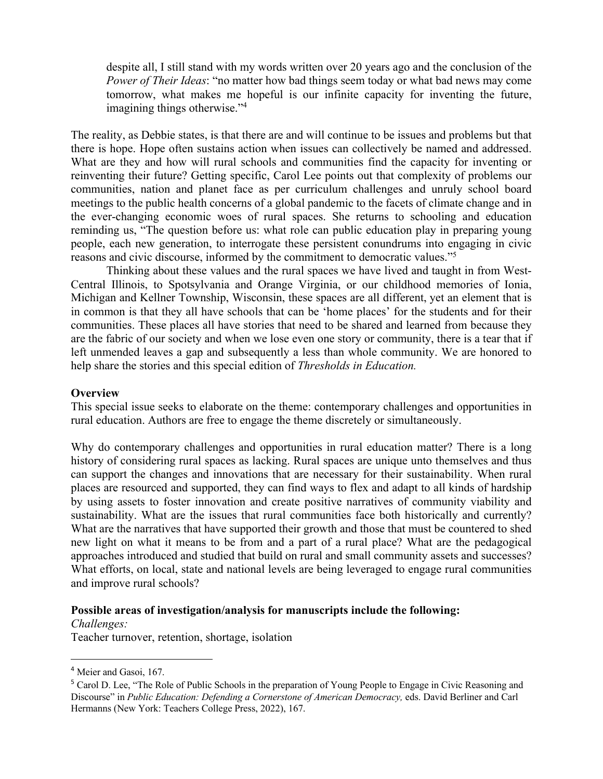despite all, I still stand with my words written over 20 years ago and the conclusion of the *Power of Their Ideas*: "no matter how bad things seem today or what bad news may come tomorrow, what makes me hopeful is our infinite capacity for inventing the future, imagining things otherwise."<sup>4</sup>

The reality, as Debbie states, is that there are and will continue to be issues and problems but that there is hope. Hope often sustains action when issues can collectively be named and addressed. What are they and how will rural schools and communities find the capacity for inventing or reinventing their future? Getting specific, Carol Lee points out that complexity of problems our communities, nation and planet face as per curriculum challenges and unruly school board meetings to the public health concerns of a global pandemic to the facets of climate change and in the ever-changing economic woes of rural spaces. She returns to schooling and education reminding us, "The question before us: what role can public education play in preparing young people, each new generation, to interrogate these persistent conundrums into engaging in civic reasons and civic discourse, informed by the commitment to democratic values."5

Thinking about these values and the rural spaces we have lived and taught in from West-Central Illinois, to Spotsylvania and Orange Virginia, or our childhood memories of Ionia, Michigan and Kellner Township, Wisconsin, these spaces are all different, yet an element that is in common is that they all have schools that can be 'home places' for the students and for their communities. These places all have stories that need to be shared and learned from because they are the fabric of our society and when we lose even one story or community, there is a tear that if left unmended leaves a gap and subsequently a less than whole community. We are honored to help share the stories and this special edition of *Thresholds in Education.*

#### **Overview**

This special issue seeks to elaborate on the theme: contemporary challenges and opportunities in rural education. Authors are free to engage the theme discretely or simultaneously.

Why do contemporary challenges and opportunities in rural education matter? There is a long history of considering rural spaces as lacking. Rural spaces are unique unto themselves and thus can support the changes and innovations that are necessary for their sustainability. When rural places are resourced and supported, they can find ways to flex and adapt to all kinds of hardship by using assets to foster innovation and create positive narratives of community viability and sustainability. What are the issues that rural communities face both historically and currently? What are the narratives that have supported their growth and those that must be countered to shed new light on what it means to be from and a part of a rural place? What are the pedagogical approaches introduced and studied that build on rural and small community assets and successes? What efforts, on local, state and national levels are being leveraged to engage rural communities and improve rural schools?

#### **Possible areas of investigation/analysis for manuscripts include the following:**

*Challenges:*

Teacher turnover, retention, shortage, isolation

<sup>4</sup> Meier and Gasoi, 167.

<sup>&</sup>lt;sup>5</sup> Carol D. Lee, "The Role of Public Schools in the preparation of Young People to Engage in Civic Reasoning and Discourse" in *Public Education: Defending a Cornerstone of American Democracy,* eds. David Berliner and Carl Hermanns (New York: Teachers College Press, 2022), 167.